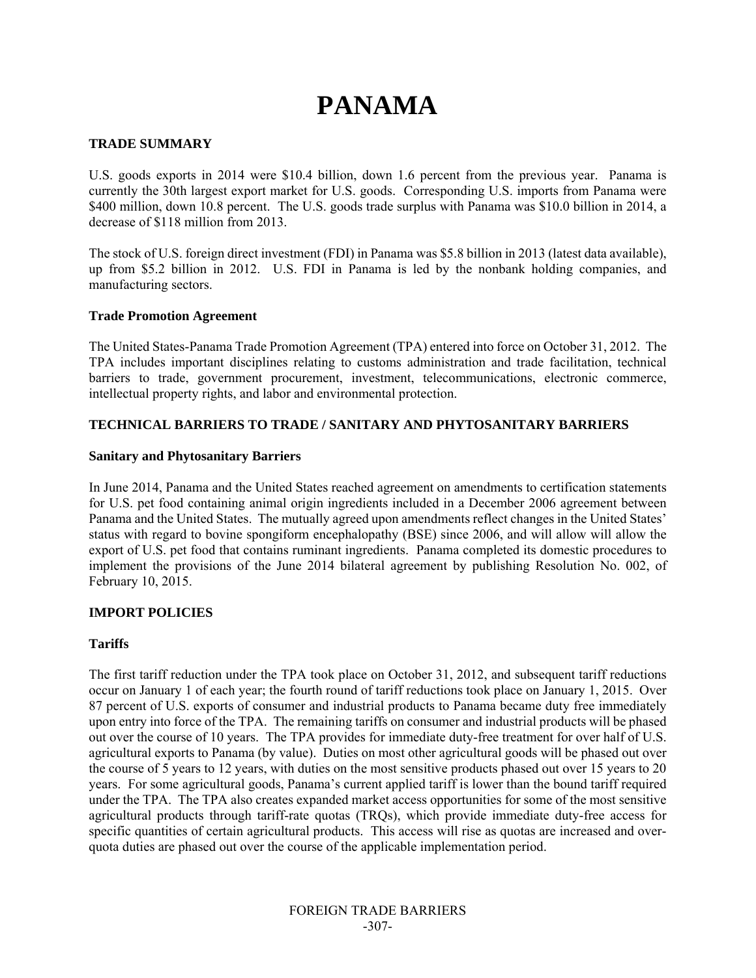# **PANAMA**

#### **TRADE SUMMARY**

U.S. goods exports in 2014 were \$10.4 billion, down 1.6 percent from the previous year. Panama is currently the 30th largest export market for U.S. goods. Corresponding U.S. imports from Panama were \$400 million, down 10.8 percent. The U.S. goods trade surplus with Panama was \$10.0 billion in 2014, a decrease of \$118 million from 2013.

The stock of U.S. foreign direct investment (FDI) in Panama was \$5.8 billion in 2013 (latest data available), up from \$5.2 billion in 2012. U.S. FDI in Panama is led by the nonbank holding companies, and manufacturing sectors.

#### **Trade Promotion Agreement**

The United States-Panama Trade Promotion Agreement (TPA) entered into force on October 31, 2012. The TPA includes important disciplines relating to customs administration and trade facilitation, technical barriers to trade, government procurement, investment, telecommunications, electronic commerce, intellectual property rights, and labor and environmental protection.

#### **TECHNICAL BARRIERS TO TRADE / SANITARY AND PHYTOSANITARY BARRIERS**

#### **Sanitary and Phytosanitary Barriers**

In June 2014, Panama and the United States reached agreement on amendments to certification statements for U.S. pet food containing animal origin ingredients included in a December 2006 agreement between Panama and the United States. The mutually agreed upon amendments reflect changes in the United States' status with regard to bovine spongiform encephalopathy (BSE) since 2006, and will allow will allow the export of U.S. pet food that contains ruminant ingredients. Panama completed its domestic procedures to implement the provisions of the June 2014 bilateral agreement by publishing Resolution No. 002, of February 10, 2015.

#### **IMPORT POLICIES**

#### **Tariffs**

The first tariff reduction under the TPA took place on October 31, 2012, and subsequent tariff reductions occur on January 1 of each year; the fourth round of tariff reductions took place on January 1, 2015. Over 87 percent of U.S. exports of consumer and industrial products to Panama became duty free immediately upon entry into force of the TPA. The remaining tariffs on consumer and industrial products will be phased out over the course of 10 years. The TPA provides for immediate duty-free treatment for over half of U.S. agricultural exports to Panama (by value). Duties on most other agricultural goods will be phased out over the course of 5 years to 12 years, with duties on the most sensitive products phased out over 15 years to 20 years. For some agricultural goods, Panama's current applied tariff is lower than the bound tariff required under the TPA. The TPA also creates expanded market access opportunities for some of the most sensitive agricultural products through tariff-rate quotas (TRQs), which provide immediate duty-free access for specific quantities of certain agricultural products. This access will rise as quotas are increased and overquota duties are phased out over the course of the applicable implementation period.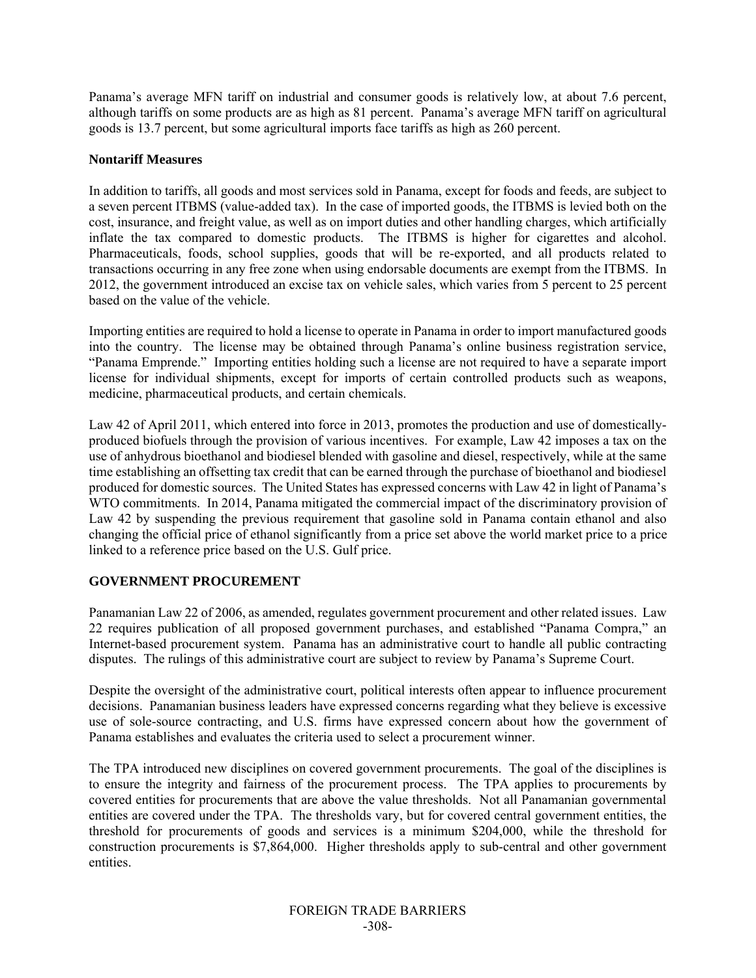Panama's average MFN tariff on industrial and consumer goods is relatively low, at about 7.6 percent, although tariffs on some products are as high as 81 percent. Panama's average MFN tariff on agricultural goods is 13.7 percent, but some agricultural imports face tariffs as high as 260 percent.

## **Nontariff Measures**

In addition to tariffs, all goods and most services sold in Panama, except for foods and feeds, are subject to a seven percent ITBMS (value-added tax). In the case of imported goods, the ITBMS is levied both on the cost, insurance, and freight value, as well as on import duties and other handling charges, which artificially inflate the tax compared to domestic products. The ITBMS is higher for cigarettes and alcohol. Pharmaceuticals, foods, school supplies, goods that will be re-exported, and all products related to transactions occurring in any free zone when using endorsable documents are exempt from the ITBMS. In 2012, the government introduced an excise tax on vehicle sales, which varies from 5 percent to 25 percent based on the value of the vehicle.

Importing entities are required to hold a license to operate in Panama in order to import manufactured goods into the country. The license may be obtained through Panama's online business registration service, "Panama Emprende." Importing entities holding such a license are not required to have a separate import license for individual shipments, except for imports of certain controlled products such as weapons, medicine, pharmaceutical products, and certain chemicals.

Law 42 of April 2011, which entered into force in 2013, promotes the production and use of domesticallyproduced biofuels through the provision of various incentives. For example, Law 42 imposes a tax on the use of anhydrous bioethanol and biodiesel blended with gasoline and diesel, respectively, while at the same time establishing an offsetting tax credit that can be earned through the purchase of bioethanol and biodiesel produced for domestic sources. The United States has expressed concerns with Law 42 in light of Panama's WTO commitments. In 2014, Panama mitigated the commercial impact of the discriminatory provision of Law 42 by suspending the previous requirement that gasoline sold in Panama contain ethanol and also changing the official price of ethanol significantly from a price set above the world market price to a price linked to a reference price based on the U.S. Gulf price.

# **GOVERNMENT PROCUREMENT**

Panamanian Law 22 of 2006, as amended, regulates government procurement and other related issues. Law 22 requires publication of all proposed government purchases, and established "Panama Compra," an Internet-based procurement system. Panama has an administrative court to handle all public contracting disputes. The rulings of this administrative court are subject to review by Panama's Supreme Court.

Despite the oversight of the administrative court, political interests often appear to influence procurement decisions. Panamanian business leaders have expressed concerns regarding what they believe is excessive use of sole-source contracting, and U.S. firms have expressed concern about how the government of Panama establishes and evaluates the criteria used to select a procurement winner.

The TPA introduced new disciplines on covered government procurements. The goal of the disciplines is to ensure the integrity and fairness of the procurement process. The TPA applies to procurements by covered entities for procurements that are above the value thresholds. Not all Panamanian governmental entities are covered under the TPA. The thresholds vary, but for covered central government entities, the threshold for procurements of goods and services is a minimum \$204,000, while the threshold for construction procurements is \$7,864,000. Higher thresholds apply to sub-central and other government entities.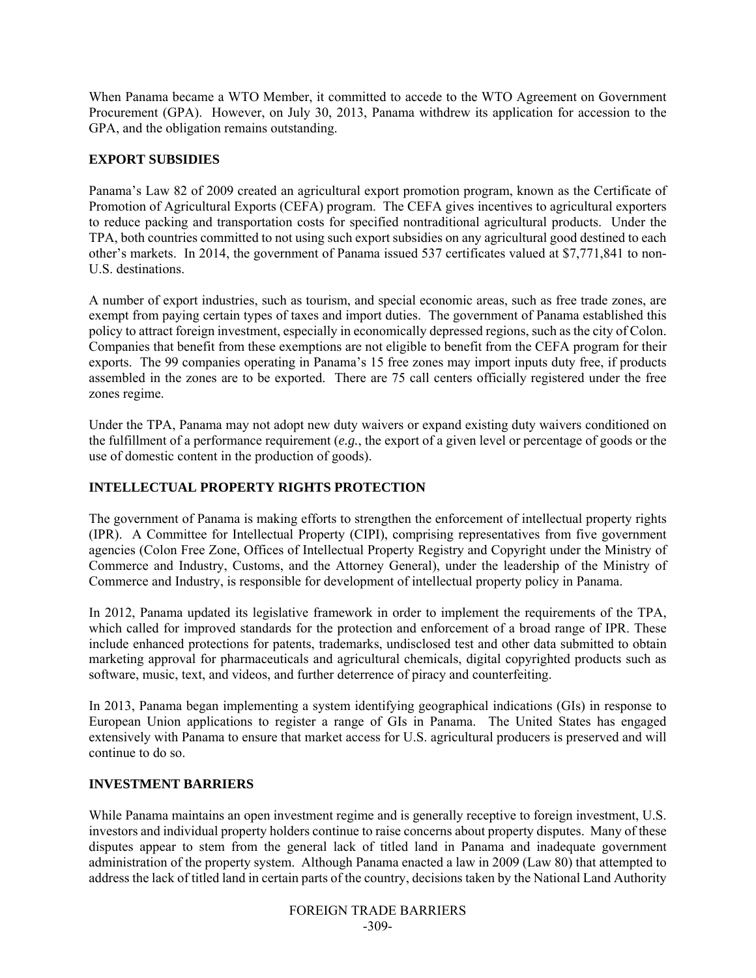When Panama became a WTO Member, it committed to accede to the WTO Agreement on Government Procurement (GPA). However, on July 30, 2013, Panama withdrew its application for accession to the GPA, and the obligation remains outstanding.

# **EXPORT SUBSIDIES**

Panama's Law 82 of 2009 created an agricultural export promotion program, known as the Certificate of Promotion of Agricultural Exports (CEFA) program. The CEFA gives incentives to agricultural exporters to reduce packing and transportation costs for specified nontraditional agricultural products. Under the TPA, both countries committed to not using such export subsidies on any agricultural good destined to each other's markets. In 2014, the government of Panama issued 537 certificates valued at \$7,771,841 to non-U.S. destinations.

A number of export industries, such as tourism, and special economic areas, such as free trade zones, are exempt from paying certain types of taxes and import duties. The government of Panama established this policy to attract foreign investment, especially in economically depressed regions, such as the city of Colon. Companies that benefit from these exemptions are not eligible to benefit from the CEFA program for their exports. The 99 companies operating in Panama's 15 free zones may import inputs duty free, if products assembled in the zones are to be exported. There are 75 call centers officially registered under the free zones regime.

Under the TPA, Panama may not adopt new duty waivers or expand existing duty waivers conditioned on the fulfillment of a performance requirement (*e.g.*, the export of a given level or percentage of goods or the use of domestic content in the production of goods).

### **INTELLECTUAL PROPERTY RIGHTS PROTECTION**

The government of Panama is making efforts to strengthen the enforcement of intellectual property rights (IPR). A Committee for Intellectual Property (CIPI), comprising representatives from five government agencies (Colon Free Zone, Offices of Intellectual Property Registry and Copyright under the Ministry of Commerce and Industry, Customs, and the Attorney General), under the leadership of the Ministry of Commerce and Industry, is responsible for development of intellectual property policy in Panama.

In 2012, Panama updated its legislative framework in order to implement the requirements of the TPA, which called for improved standards for the protection and enforcement of a broad range of IPR. These include enhanced protections for patents, trademarks, undisclosed test and other data submitted to obtain marketing approval for pharmaceuticals and agricultural chemicals, digital copyrighted products such as software, music, text, and videos, and further deterrence of piracy and counterfeiting.

In 2013, Panama began implementing a system identifying geographical indications (GIs) in response to European Union applications to register a range of GIs in Panama. The United States has engaged extensively with Panama to ensure that market access for U.S. agricultural producers is preserved and will continue to do so.

## **INVESTMENT BARRIERS**

While Panama maintains an open investment regime and is generally receptive to foreign investment, U.S. investors and individual property holders continue to raise concerns about property disputes. Many of these disputes appear to stem from the general lack of titled land in Panama and inadequate government administration of the property system. Although Panama enacted a law in 2009 (Law 80) that attempted to address the lack of titled land in certain parts of the country, decisions taken by the National Land Authority

> FOREIGN TRADE BARRIERS -309